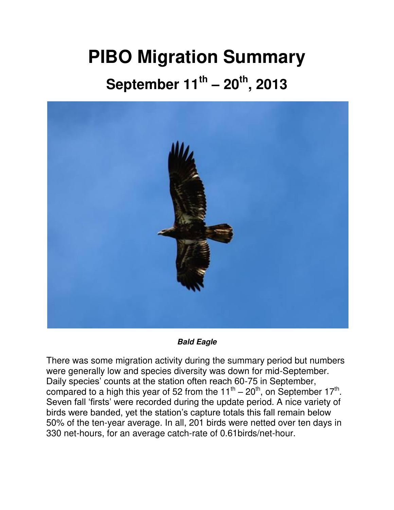## **PIBO Migration Summary**

## **September 11th – 20th, 2013**



*Bald Eagle*

There was some migration activity during the summary period but numbers were generally low and species diversity was down for mid-September. Daily species' counts at the station often reach 60-75 in September, compared to a high this year of 52 from the  $11^{\text{th}} - 20^{\text{th}}$ , on September  $17^{\text{th}}$ . Seven fall 'firsts' were recorded during the update period. A nice variety of birds were banded, yet the station's capture totals this fall remain below 50% of the ten-year average. In all, 201 birds were netted over ten days in 330 net-hours, for an average catch-rate of 0.61birds/net-hour.